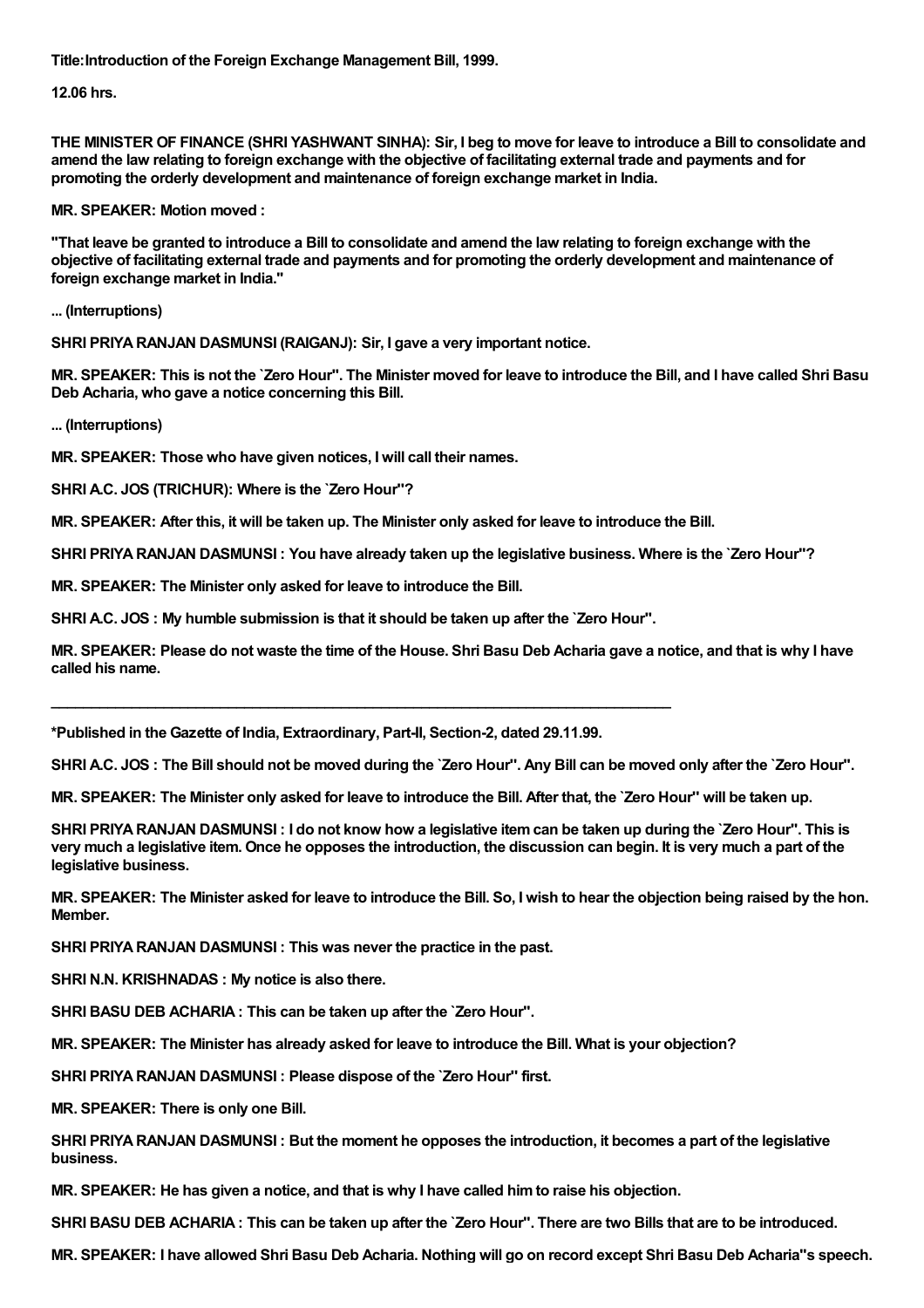**Title:Introduction of the Foreign Exchange Management Bill, 1999.**

**12.06 hrs.**

THE MINISTER OF FINANCE (SHRI YASHWANT SINHA): Sir, I beg to move for leave to introduce a Bill to consolidate and amend the law relating to foreign exchange with the objective of facilitating external trade and payments and for **promoting the orderly development and maintenance of foreign exchange market in India.**

**MR. SPEAKER: Motion moved :**

"That leave be granted to introduce a Bill to consolidate and amend the law relating to foreign exchange with the objective of facilitating external trade and payments and for promoting the orderly development and maintenance of **foreign exchange market in India."**

**... (Interruptions)**

**SHRI PRIYARANJAN DASMUNSI (RAIGANJ): Sir, I gave a very important notice.**

MR. SPEAKER: This is not the 'Zero Hour". The Minister moved for leave to introduce the Bill, and I have called Shri Basu **Deb Acharia, who gave a notice concerning this Bill.**

**... (Interruptions)**

**MR. SPEAKER: Those who have given notices, I will call their names.**

**SHRI A.C. JOS (TRICHUR): Where is the `Zero Hour''?**

MR. SPEAKER: After this, it will be taken up. The Minister only asked for leave to introduce the Bill.

SHRI PRIYA RANJAN DASMUNSI: You have already taken up the legislative business. Where is the 'Zero Hour''?

**MR. SPEAKER: The Minister only asked for leave to introduce the Bill.**

**SHRI A.C. JOS : My humble submission is that it should be taken up after the `Zero Hour''.**

**\_\_\_\_\_\_\_\_\_\_\_\_\_\_\_\_\_\_\_\_\_\_\_\_\_\_\_\_\_\_\_\_\_\_\_\_\_\_\_\_\_\_\_\_\_\_\_\_\_\_\_\_\_\_\_\_\_\_\_\_\_\_\_\_\_\_\_\_\_\_\_\_\_\_\_\_\_**

MR. SPEAKER: Please do not waste the time of the House. Shri Basu Deb Acharia gave a notice, and that is why I have **called his name.**

**\*Published in the Gazette of India, Extraordinary, Part-II, Section-2, dated 29.11.99.**

SHRI A.C. JOS: The Bill should not be moved during the 'Zero Hour". Any Bill can be moved only after the 'Zero Hour".

MR. SPEAKER: The Minister only asked for leave to introduce the Bill. After that, the 'Zero Hour'' will be taken up.

SHRI PRIYA RANJAN DASMUNSI: I do not know how a legislative item can be taken up during the `Zero Hour". This is very much a legislative item. Once he opposes the introduction, the discussion can begin. It is very much a part of the **legislative business.**

MR. SPEAKER: The Minister asked for leave to introduce the Bill. So, I wish to hear the objection being raised by the hon. **Member.**

**SHRI PRIYARANJAN DASMUNSI : This was never the practice in the past.**

**SHRI N.N. KRISHNADAS : My notice is also there.**

**SHRI BASU DEB ACHARIA: This can be taken up after the `Zero Hour''.**

**MR. SPEAKER: The Minister has already asked for leave to introduce the Bill. What is your objection?**

**SHRI PRIYARANJAN DASMUNSI : Please dispose of the `Zero Hour'' first.**

**MR. SPEAKER: There is only one Bill.**

SHRI PRIYA RANJAN DASMUNSI: But the moment he opposes the introduction, it becomes a part of the legislative **business.**

**MR. SPEAKER: He has given a notice, and that is why I have called himto raise his objection.**

SHRI BASU DEB ACHARIA: This can be taken up after the 'Zero Hour''. There are two Bills that are to be introduced.

MR. SPEAKER: I have allowed Shri Basu Deb Acharia. Nothing will go on record except Shri Basu Deb Acharia"s speech.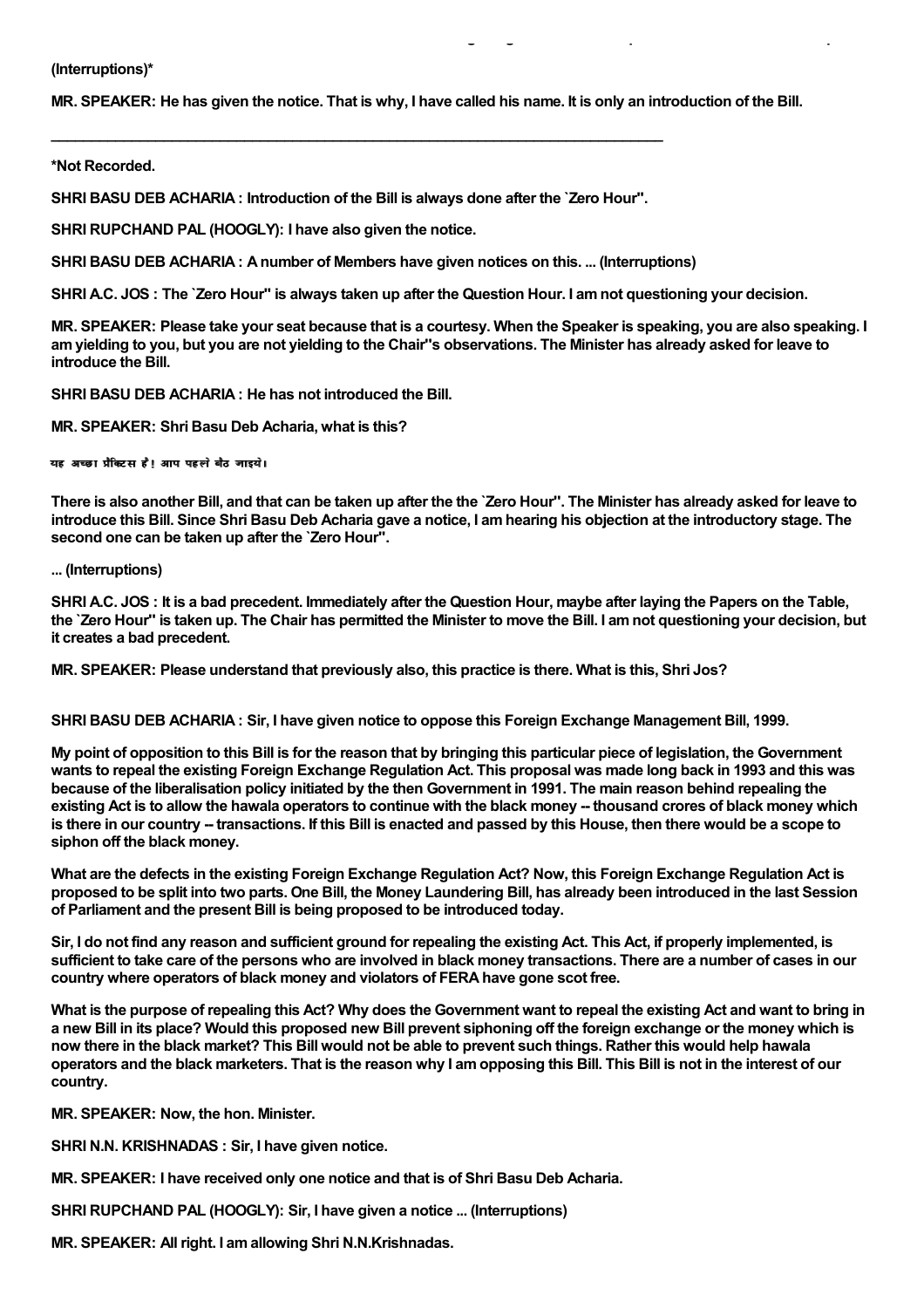## **(Interruptions)\***

MR. SPEAKER: He has given the notice. That is why, I have called his name. It is only an introduction of the Bill.

,他们的人们也不能在这里,他们的人们也不能在这里,他们的人们也不能在这里的人们,他们的人们也不能在这里的人们,他们的人们也不能在这里的人们,他们的人们也不能在这

## **\*Not Recorded.**

**SHRI BASU DEB ACHARIA: Introduction of the Bill is always done after the `Zero Hour''.**

**\_\_\_\_\_\_\_\_\_\_\_\_\_\_\_\_\_\_\_\_\_\_\_\_\_\_\_\_\_\_\_\_\_\_\_\_\_\_\_\_\_\_\_\_\_\_\_\_\_\_\_\_\_\_\_\_\_\_\_\_\_\_\_\_\_\_\_\_\_\_\_\_\_\_\_\_**

**SHRI RUPCHAND PAL (HOOGLY): I have also given the notice.**

**SHRI BASU DEB ACHARIA: Anumber of Members have given notices on this. ... (Interruptions)**

SHRI A.C. JOS: The `Zero Hour" is always taken up after the Question Hour. I am not questioning your decision.

MR. SPEAKER: Please take your seat because that is a courtesy. When the Speaker is speaking, you are also speaking. I am vielding to you, but you are not vielding to the Chair"s observations. The Minister has already asked for leave to **introduce the Bill.**

**SHRI BASU DEB ACHARIA: He has not introduced the Bill.**

**MR. SPEAKER: Shri Basu Deb Acharia, what is this?**

यह अच्छा पैक्टिस है। आप पहले बैठ जाइये।

There is also another Bill, and that can be taken up after the the `Zero Hour". The Minister has already asked for leave to introduce this Bill. Since Shri Basu Deb Acharia gave a notice, I am hearing his objection at the introductory stage. The **second one can be taken up after the `Zero Hour''.**

## **... (Interruptions)**

SHRI A.C. JOS: It is a bad precedent. Immediately after the Question Hour, maybe after laying the Papers on the Table, the `Zero Hour" is taken up. The Chair has permitted the Minister to move the Bill. I am not questioning your decision, but **it creates a bad precedent.**

**MR. SPEAKER: Please understand that previously also, this practice is there. What is this, Shri Jos?**

**SHRI BASU DEB ACHARIA: Sir, I have given notice to oppose this Foreign Exchange Management Bill, 1999.**

My point of opposition to this Bill is for the reason that by bringing this particular piece of legislation, the Government wants to repeal the existing Foreign Exchange Regulation Act. This proposal was made long back in 1993 and this was because of the liberalisation policy initiated by the then Government in 1991. The main reason behind repealing the existing Act is to allow the hawala operators to continue with the black money -- thousand crores of black money which is there in our country -- transactions. If this Bill is enacted and passed by this House, then there would be a scope to **siphon off the black money.**

What are the defects in the existing Foreign Exchange Regulation Act? Now, this Foreign Exchange Regulation Act is proposed to be split into two parts. One Bill, the Money Laundering Bill, has already been introduced in the last Session **of Parliament and the present Bill is being proposed to be introduced today.**

Sir. I do not find any reason and sufficient ground for repealing the existing Act. This Act. if properly implemented, is sufficient to take care of the persons who are involved in black money transactions. There are a number of cases in our **country where operators of black money and violators of FERAhave gone scot free.**

What is the purpose of repealing this Act? Why does the Government want to repeal the existing Act and want to bring in a new Bill in its place? Would this proposed new Bill prevent siphoning off the foreign exchange or the money which is now there in the black market? This Bill would not be able to prevent such things. Rather this would help hawala operators and the black marketers. That is the reason why I am opposing this Bill. This Bill is not in the interest of our **country.**

**MR. SPEAKER: Now, the hon. Minister.**

**SHRI N.N. KRISHNADAS : Sir, I have given notice.**

**MR. SPEAKER: I have received only one notice and that is of Shri Basu Deb Acharia.**

**SHRI RUPCHAND PAL (HOOGLY): Sir, I have given a notice ... (Interruptions)**

**MR. SPEAKER: All right. I amallowing Shri N.N.Krishnadas.**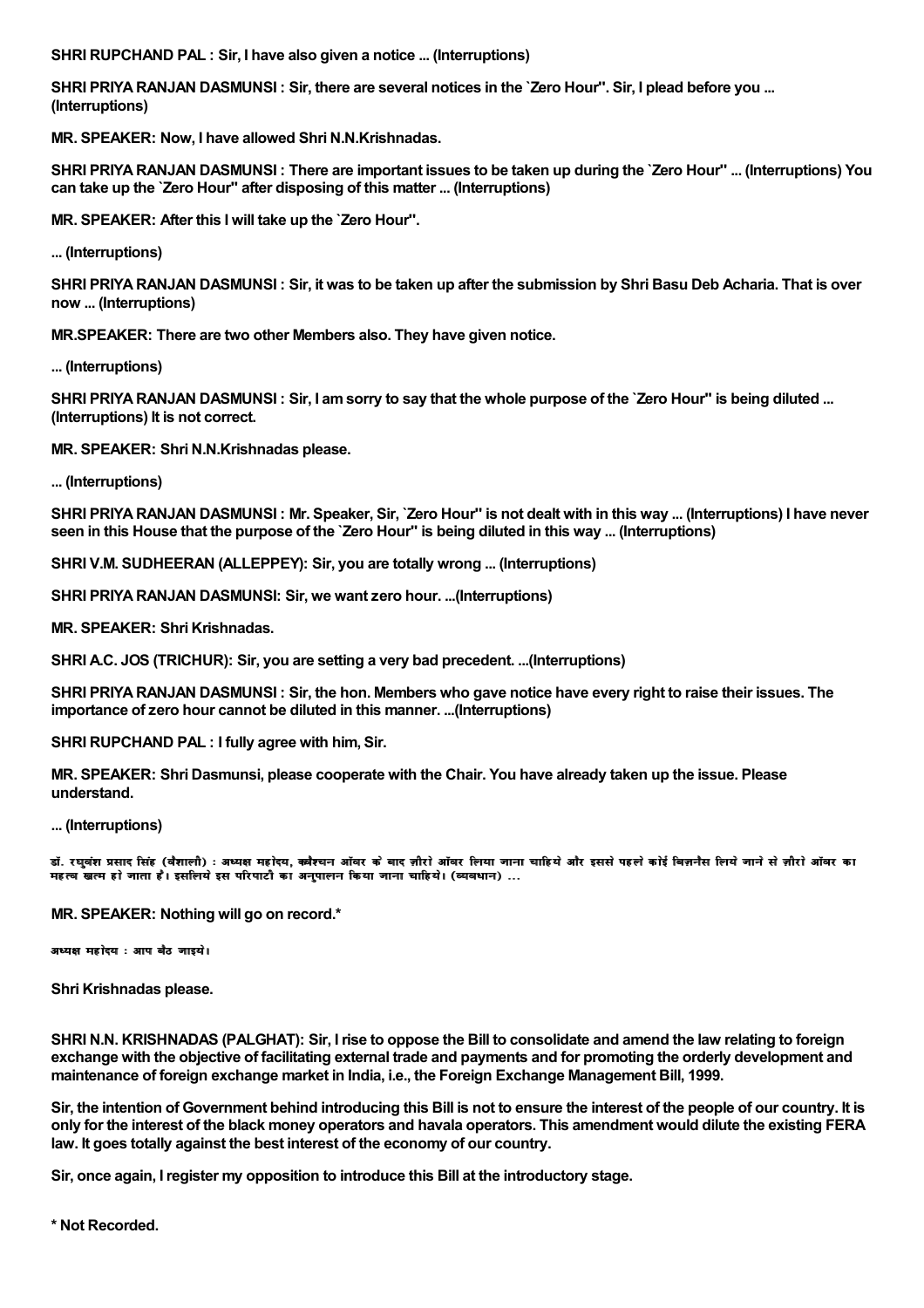**SHRI RUPCHAND PAL : Sir, I have also given a notice ... (Interruptions)**

SHRI PRIYA RANJAN DASMUNSI: Sir, there are several notices in the `Zero Hour". Sir, I plead before you ... **(Interruptions)**

**MR. SPEAKER: Now, I have allowed Shri N.N.Krishnadas.**

SHRI PRIYA RANJAN DASMUNSI: There are important issues to be taken up during the `Zero Hour" ... (Interruptions) You **can take up the `Zero Hour'' after disposing of this matter ... (Interruptions)**

**MR. SPEAKER: After this I will take up the `Zero Hour''.**

**... (Interruptions)**

SHRI PRIYA RANJAN DASMUNSI: Sir, it was to be taken up after the submission by Shri Basu Deb Acharia. That is over **now ... (Interruptions)**

**MR.SPEAKER: There are two other Members also. They have given notice.**

**... (Interruptions)**

SHRI PRIYA RANJAN DASMUNSI: Sir, I am sorry to say that the whole purpose of the `Zero Hour'' is being diluted ... **(Interruptions) It is not correct.**

**MR. SPEAKER: Shri N.N.Krishnadas please.**

**... (Interruptions)**

SHRI PRIYA RANJAN DASMUNSI: Mr. Speaker, Sir, `Zero Hour'' is not dealt with in this way ... (Interruptions) I have never seen in this House that the purpose of the `Zero Hour'' is being diluted in this way ... (Interruptions)

**SHRI V.M. SUDHEERAN (ALLEPPEY): Sir, you are totally wrong ... (Interruptions)**

**SHRI PRIYARANJAN DASMUNSI: Sir, we want zero hour. ...(Interruptions)**

**MR. SPEAKER: Shri Krishnadas.**

**SHRI A.C. JOS (TRICHUR): Sir, you are setting a very bad precedent. ...(Interruptions)**

SHRI PRIYA RANJAN DASMUNSI: Sir, the hon. Members who gave notice have every right to raise their issues. The **importance of zero hour cannot be diluted in this manner. ...(Interruptions)**

**SHRI RUPCHAND PAL : I fully agree with him, Sir.**

**MR. SPEAKER: Shri Dasmunsi, please cooperate with the Chair. You have already taken up the issue. Please understand.**

**... (Interruptions)**

डॉ. रघूबंश प्रसाद सिंह (वैशाली) : अध्यक्ष महोदय, कवैश्चन ऑवर के बाद ज़ीरो ऑवर लिया जाना चाहिये और इससे पहले कोई बिज़नैस लिये जाने से ज़ीरो ऑवर का महत्व खत्म हो जाता है। इसलिये इस परिपाटी का अनुपालन किया जाना चाहिये। (व्यवधान) ...

**MR. SPEAKER: Nothing will go on record.\***

 $\overline{a}$ ध्यक्ष महोदय : आप बैठ जाइये।

**Shri Krishnadas please.**

SHRI N.N. KRISHNADAS (PALGHAT): Sir, I rise to oppose the Bill to consolidate and amend the law relating to foreign exchange with the objective of facilitating external trade and payments and for promoting the orderly development and **maintenance of foreign exchange market in India, i.e., the Foreign Exchange Management Bill, 1999.**

Sir, the intention of Government behind introducing this Bill is not to ensure the interest of the people of our country. It is only for the interest of the black money operators and havala operators. This amendment would dilute the existing FERA **law. It goes totally against the best interest of the economy of our country.**

**Sir, once again, I register my opposition to introduce this Bill at the introductory stage.**

**\* Not Recorded.**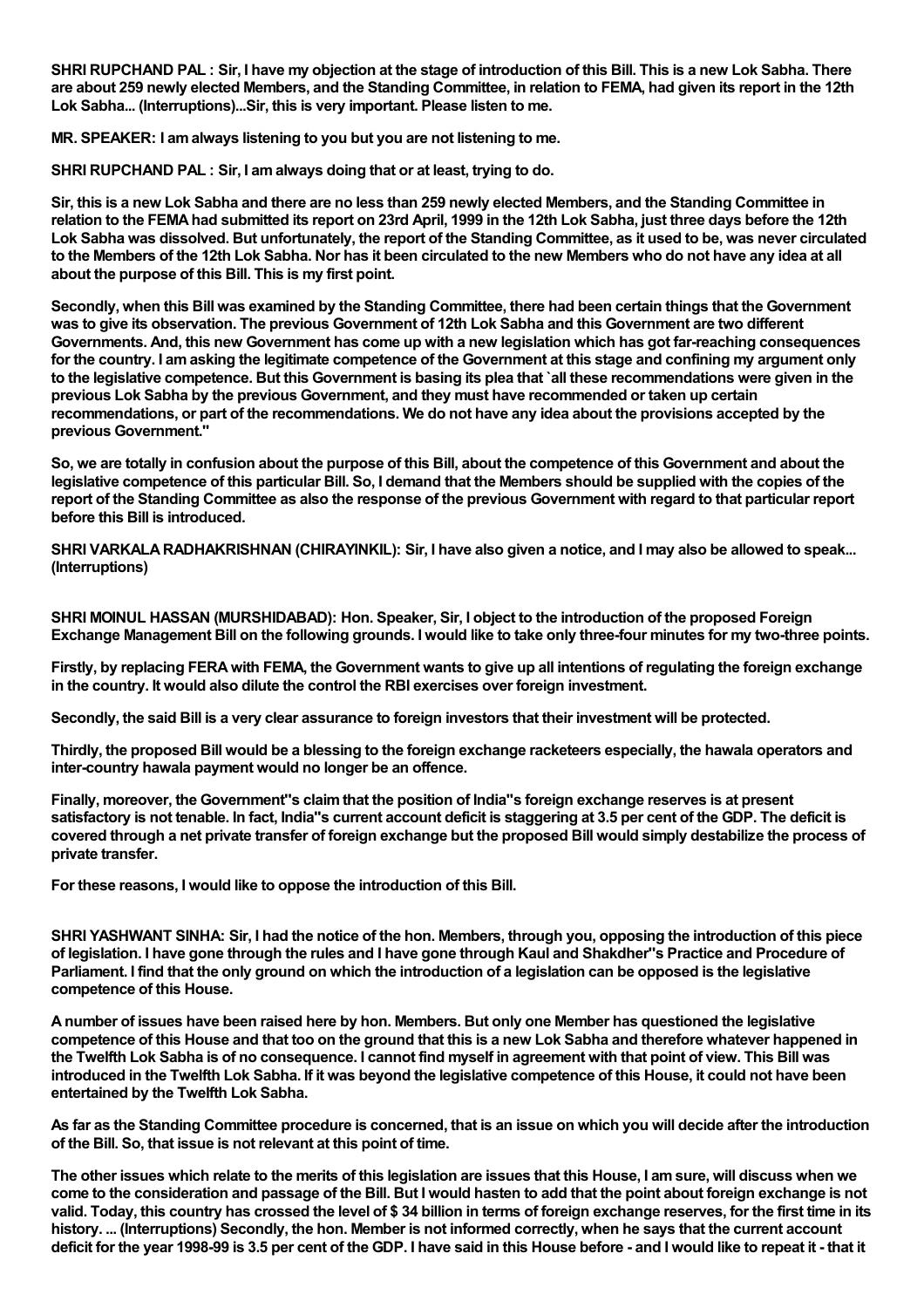SHRI RUPCHAND PAL: Sir, I have my objection at the stage of introduction of this Bill. This is a new Lok Sabha. There are about 259 newly elected Members, and the Standing Committee, in relation to FEMA, had given its report in the 12th **Lok Sabha... (Interruptions)...Sir, this is very important. Please listen to me.**

**MR. SPEAKER: I amalways listening to you but you are not listening to me.**

**SHRI RUPCHAND PAL : Sir, I amalways doing that or at least, trying to do.**

Sir, this is a new Lok Sabha and there are no less than 259 newly elected Members, and the Standing Committee in relation to the FEMA had submitted its report on 23rd April, 1999 in the 12th Lok Sabha, just three days before the 12th Lok Sabha was dissolved. But unfortunately, the report of the Standing Committee, as it used to be, was never circulated to the Members of the 12th Lok Sabha. Nor has it been circulated to the new Members who do not have any idea at all **about the purpose of this Bill. This is my first point.**

Secondly, when this Bill was examined by the Standing Committee, there had been certain things that the Government was to give its observation. The previous Government of 12th Lok Sabha and this Government are two different Governments. And, this new Government has come up with a new legislation which has got far-reaching consequences for the country. I am asking the legitimate competence of the Government at this stage and confining my argument only to the legislative competence. But this Government is basing its plea that `all these recommendations were given in the **previous Lok Sabha by the previous Government, and they must have recommended or taken up certain** recommendations, or part of the recommendations. We do not have any idea about the provisions accepted by the **previous Government.''**

So, we are totally in confusion about the purpose of this Bill, about the competence of this Government and about the legislative competence of this particular Bill. So, I demand that the Members should be supplied with the copies of the report of the Standing Committee as also the response of the previous Government with regard to that particular report **before this Bill is introduced.**

SHRI VARKALA RADHAKRISHNAN (CHIRAYINKIL): Sir. I have also given a notice, and I may also be allowed to speak... **(Interruptions)**

**SHRI MOINUL HASSAN (MURSHIDABAD): Hon. Speaker, Sir, I object to the introduction of the proposed Foreign** Exchange Management Bill on the following grounds. I would like to take only three-four minutes for my two-three points.

Firstly, by replacing FERA with FEMA, the Government wants to give up all intentions of regulating the foreign exchange **in the country. It would also dilute the control the RBI exercises over foreign investment.**

Secondly, the said Bill is a very clear assurance to foreign investors that their investment will be protected.

Thirdly, the proposed Bill would be a blessing to the foreign exchange racketeers especially, the hawala operators and **inter-country hawala payment would no longer be an offence.**

**Finally, moreover, the Government''s claimthat the position of India''s foreign exchange reserves is at present** satisfactory is not tenable. In fact, India"s current account deficit is staggering at 3.5 per cent of the GDP. The deficit is covered through a net private transfer of foreign exchange but the proposed Bill would simply destabilize the process of **private transfer.**

**For these reasons, I would like to oppose the introduction of this Bill.**

SHRI YASHWANT SINHA: Sir, I had the notice of the hon. Members, through you, opposing the introduction of this piece of legislation. I have gone through the rules and I have gone through Kaul and Shakdher"s Practice and Procedure of Parliament. I find that the only ground on which the introduction of a legislation can be opposed is the legislative **competence of this House.**

A number of issues have been raised here by hon. Members. But only one Member has questioned the legislative competence of this House and that too on the ground that this is a new Lok Sabha and therefore whatever happened in the Twelfth Lok Sabha is of no consequence. I cannot find myself in agreement with that point of view. This Bill was introduced in the Twelfth Lok Sabha. If it was beyond the legislative competence of this House, it could not have been **entertained by the Twelfth Lok Sabha.**

As far as the Standing Committee procedure is concerned, that is an issue on which you will decide after the introduction **of the Bill. So, that issue is not relevant at this point of time.**

The other issues which relate to the merits of this legislation are issues that this House, I am sure, will discuss when we come to the consideration and passage of the Bill. But I would hasten to add that the point about foreign exchange is not valid. Today, this country has crossed the level of \$34 billion in terms of foreign exchange reserves, for the first time in its history. ... (Interruptions) Secondly, the hon. Member is not informed correctly, when he says that the current account deficit for the year 1998-99 is 3.5 per cent of the GDP. I have said in this House before - and I would like to repeat it - that it